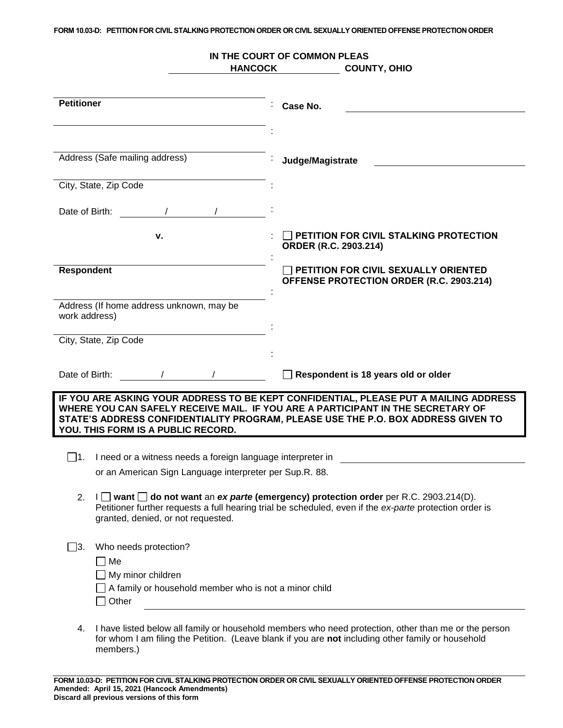**FORM 10.03-D: PETITION FOR CIVIL STALKING PROTECTION ORDER OR CIVIL SEXUALLY ORIENTED OFFENSE PROTECTION ORDER**

|                                                                    | IN THE COURT OF COMMON PLEAS<br><b>HANCOCK</b><br><b>COUNTY, OHIO</b>                                                                                                                                                                                        |
|--------------------------------------------------------------------|--------------------------------------------------------------------------------------------------------------------------------------------------------------------------------------------------------------------------------------------------------------|
| <b>Petitioner</b>                                                  |                                                                                                                                                                                                                                                              |
|                                                                    | Case No.                                                                                                                                                                                                                                                     |
|                                                                    |                                                                                                                                                                                                                                                              |
| Address (Safe mailing address)                                     | Judge/Magistrate                                                                                                                                                                                                                                             |
| City, State, Zip Code                                              |                                                                                                                                                                                                                                                              |
| Date of Birth:                                                     |                                                                                                                                                                                                                                                              |
| ν.                                                                 | PETITION FOR CIVIL STALKING PROTECTION<br>ORDER (R.C. 2903.214)                                                                                                                                                                                              |
| <b>Respondent</b>                                                  | PETITION FOR CIVIL SEXUALLY ORIENTED<br>OFFENSE PROTECTION ORDER (R.C. 2903.214)                                                                                                                                                                             |
| Address (If home address unknown, may be<br>work address)          |                                                                                                                                                                                                                                                              |
| City, State, Zip Code                                              |                                                                                                                                                                                                                                                              |
| Date of Birth:                                                     | Respondent is 18 years old or older                                                                                                                                                                                                                          |
| YOU. THIS FORM IS A PUBLIC RECORD.                                 | IF YOU ARE ASKING YOUR ADDRESS TO BE KEPT CONFIDENTIAL, PLEASE PUT A MAILING ADDRESS<br>WHERE YOU CAN SAFELY RECEIVE MAIL. IF YOU ARE A PARTICIPANT IN THE SECRETARY OF<br>STATE'S ADDRESS CONFIDENTIALITY PROGRAM, PLEASE USE THE P.O. BOX ADDRESS GIVEN TO |
|                                                                    |                                                                                                                                                                                                                                                              |
| I need or a witness needs a foreign language interpreter in<br> 1. |                                                                                                                                                                                                                                                              |
| or an American Sign Language interpreter per Sup.R. 88.            |                                                                                                                                                                                                                                                              |
| 2.<br>granted, denied, or not requested.                           | $I \square$ want $\square$ do not want an ex parte (emergency) protection order per R.C. 2903.214(D).<br>Petitioner further requests a full hearing trial be scheduled, even if the ex-parte protection order is                                             |
| $\Box$ 3.<br>Who needs protection?                                 |                                                                                                                                                                                                                                                              |
| Me                                                                 |                                                                                                                                                                                                                                                              |
| My minor children                                                  |                                                                                                                                                                                                                                                              |
| A family or household member who is not a minor child<br>Other     |                                                                                                                                                                                                                                                              |
| 4.<br>members.)                                                    | I have listed below all family or household members who need protection, other than me or the person<br>for whom I am filing the Petition. (Leave blank if you are not including other family or household                                                   |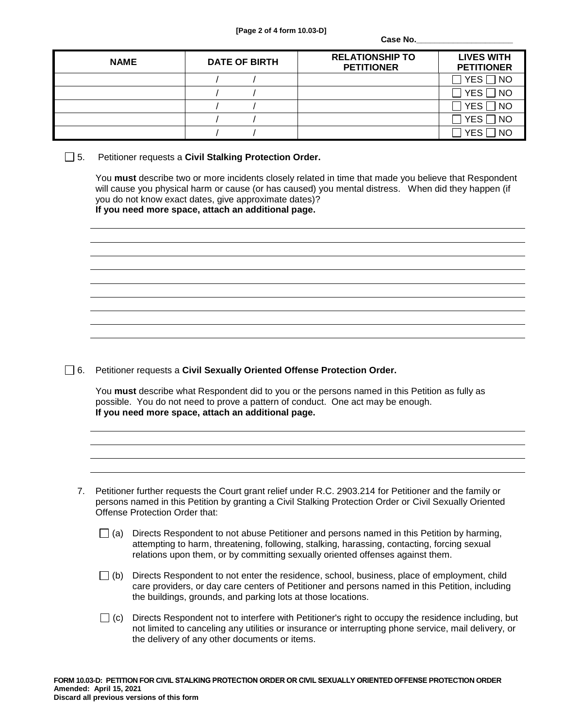Case No.

| <b>NAME</b> | <b>DATE OF BIRTH</b> | <b>RELATIONSHIP TO</b><br><b>PETITIONER</b> | <b>LIVES WITH</b><br><b>PETITIONER</b> |
|-------------|----------------------|---------------------------------------------|----------------------------------------|
|             |                      |                                             | $\Box$ YES $\Box$ NO                   |
|             |                      |                                             | $\exists$ YES $\Box$ NO                |
|             |                      |                                             | $\Box$ YES $\Box$ NO                   |
|             |                      |                                             | $\Box$ YES $\Box$ NO                   |
|             |                      |                                             | <b>NO</b><br><b>YFS</b>                |

5. Petitioner requests a **Civil Stalking Protection Order.**

You **must** describe two or more incidents closely related in time that made you believe that Respondent will cause you physical harm or cause (or has caused) you mental distress. When did they happen (if you do not know exact dates, give approximate dates)? **If you need more space, attach an additional page.**



6. Petitioner requests a **Civil Sexually Oriented Offense Protection Order.**

You **must** describe what Respondent did to you or the persons named in this Petition as fully as possible. You do not need to prove a pattern of conduct. One act may be enough. **If you need more space, attach an additional page.** 

- 7. Petitioner further requests the Court grant relief under R.C. 2903.214 for Petitioner and the family or persons named in this Petition by granting a Civil Stalking Protection Order or Civil Sexually Oriented Offense Protection Order that:
	- $\Box$  (a) Directs Respondent to not abuse Petitioner and persons named in this Petition by harming, attempting to harm, threatening, following, stalking, harassing, contacting, forcing sexual relations upon them, or by committing sexually oriented offenses against them.
	- $\Box$  (b) Directs Respondent to not enter the residence, school, business, place of employment, child care providers, or day care centers of Petitioner and persons named in this Petition, including the buildings, grounds, and parking lots at those locations.
	- $\Box$  (c) Directs Respondent not to interfere with Petitioner's right to occupy the residence including, but not limited to canceling any utilities or insurance or interrupting phone service, mail delivery, or the delivery of any other documents or items.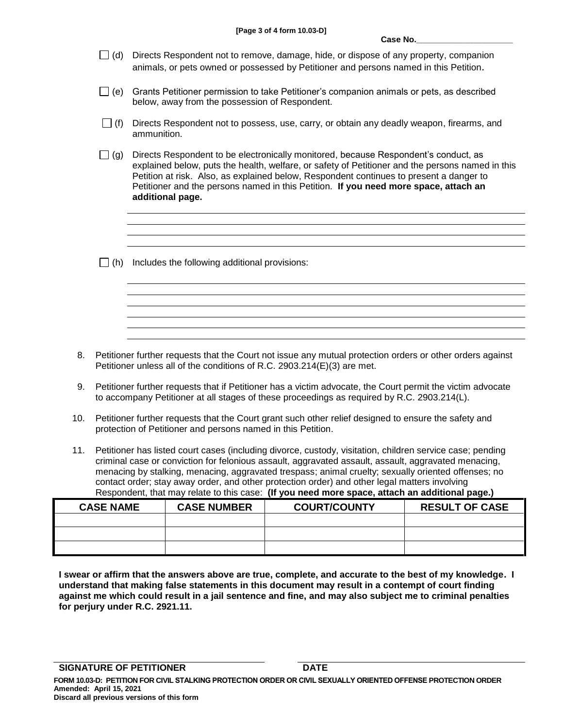- $\Box$  (d) Directs Respondent not to remove, damage, hide, or dispose of any property, companion animals, or pets owned or possessed by Petitioner and persons named in this Petition.
- $\Box$  (e) Grants Petitioner permission to take Petitioner's companion animals or pets, as described below, away from the possession of Respondent.
- $\Box$  (f) Directs Respondent not to possess, use, carry, or obtain any deadly weapon, firearms, and ammunition.
- $\Box$  (g) Directs Respondent to be electronically monitored, because Respondent's conduct, as explained below, puts the health, welfare, or safety of Petitioner and the persons named in this Petition at risk. Also, as explained below, Respondent continues to present a danger to Petitioner and the persons named in this Petition. **If you need more space, attach an additional page.**
- $\Box$  (h) Includes the following additional provisions:

- 8. Petitioner further requests that the Court not issue any mutual protection orders or other orders against Petitioner unless all of the conditions of R.C. 2903.214(E)(3) are met.
- 9. Petitioner further requests that if Petitioner has a victim advocate, the Court permit the victim advocate to accompany Petitioner at all stages of these proceedings as required by R.C. 2903.214(L).
- 10. Petitioner further requests that the Court grant such other relief designed to ensure the safety and protection of Petitioner and persons named in this Petition.
- 11. Petitioner has listed court cases (including divorce, custody, visitation, children service case; pending criminal case or conviction for felonious assault, aggravated assault, assault, aggravated menacing, menacing by stalking, menacing, aggravated trespass; animal cruelty; sexually oriented offenses; no contact order; stay away order, and other protection order) and other legal matters involving Respondent, that may relate to this case: **(If you need more space, attach an additional page.)**

| <b>CASE NAME</b> | <b>CASE NUMBER</b> | <b>COURT/COUNTY</b> | <b>RESULT OF CASE</b> |
|------------------|--------------------|---------------------|-----------------------|
|                  |                    |                     |                       |
|                  |                    |                     |                       |
|                  |                    |                     |                       |

**I swear or affirm that the answers above are true, complete, and accurate to the best of my knowledge. I understand that making false statements in this document may result in a contempt of court finding against me which could result in a jail sentence and fine, and may also subject me to criminal penalties for perjury under R.C. 2921.11.**